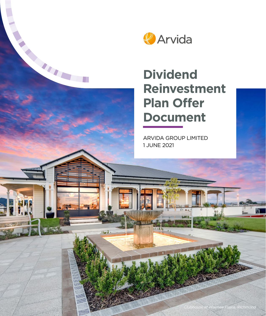

# **Dividend Reinvestment Plan Offer Document**

ARVIDA GROUP LIMITED 1 JUNE 2021

Hord.

 $\mathsf{III}$ 

*Clubhouse at Waimea Plains, Richmond*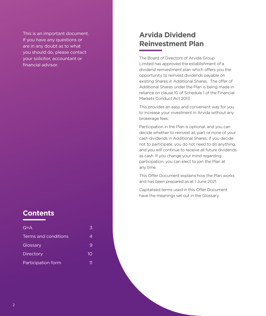This is an important document. If you have any questions or are in any doubt as to what you should do, please contact your solicitor, accountant or financial advisor.

# **Contents**

| $Q+A$                | ス  |
|----------------------|----|
| Terms and conditions | 4  |
| Glossary             | 9  |
| Directory            | 10 |
| Participation form   |    |

# **Arvida Dividend Reinvestment Plan**

The Board of Directors of Arvida Group Limited has approved the establishment of a dividend reinvestment plan which offers you the opportunity to reinvest dividends payable on existing Shares in Additional Shares. The offer of Additional Shares under the Plan is being made in reliance on clause 10 of Schedule 1 of the Financial Markets Conduct Act 2013.

This provides an easy and convenient way for you to increase your investment in Arvida without any brokerage fees.

Participation in the Plan is optional, and you can decide whether to reinvest all, part or none of your cash dividends in Additional Shares. If you decide not to participate, you do not need to do anything, and you will continue to receive all future dividends as cash. If you change your mind regarding participation, you can elect to join the Plan at any time.

This Offer Document explains how the Plan works and has been prepared as at 1 June 2021.

Capitalised terms used in this Offer Document have the meanings set out in the Glossary.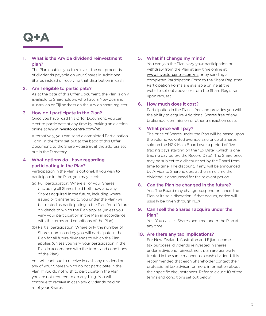# <span id="page-2-0"></span>**Q+A**

# 1. What is the Arvida dividend reinvestment plan?

The Plan enables you to reinvest the net proceeds of dividends payable on your Shares in Additional Shares instead of receiving that distribution in cash.

# 2. Am I eligible to participate?

As at the date of this Offer Document, the Plan is only available to Shareholders who have a New Zealand, Australian or Fiji address on the Arvida share register.

#### 3. How do I participate in the Plan?

Once you have read this Offer Document, you can elect to participate at any time by making an election online at [www.investorcentre.com/nz](http://www.investorcentre.com/nz).

Alternatively, you can send a completed Participation Form, in the form set out at the back of this Offer Document, to the Share Registrar, at the address set out in the Directory.

# 4. What options do I have regarding participating in the Plan?

Participation in the Plan is optional. If you wish to participate in the Plan, you may elect:

- (a) Full participation: Where all of your Shares (including all Shares held both now and any Shares acquired in the future, including where issued or transferred to you under the Plan) will be treated as participating in the Plan for all future dividends to which the Plan applies (unless you vary your participation in the Plan in accordance with the terms and conditions of the Plan).
- (b) Partial participation: Where only the number of Shares nominated by you will participate in the Plan for all future dividends to which the Plan applies (unless you vary your participation in the Plan in accordance with the terms and conditions of the Plan).

You will continue to receive in cash any dividend on any of your Shares which do not participate in the Plan. If you do not wish to participate in the Plan, you are not required to do anything. You will continue to receive in cash any dividends paid on all of your Shares.

# 5. What if I change my mind?

You can join the Plan, vary your participation or withdraw from the Plan at any time online at [www.investorcentre.com/nz](http://www.investorcentre.com/nz) or by sending a completed Participation Form to the Share Registrar. Participation Forms are available online at the website set out above, or from the Share Registrar upon request.

#### 6. How much does it cost?

Participation in the Plan is free and provides you with the ability to acquire Additional Shares free of any brokerage, commission or other transaction costs.

# 7. What price will I pay?

The price of Shares under the Plan will be based upon the volume weighted average sale price of Shares sold on the NZX Main Board over a period of five trading days starting on the "Ex Date" (which is one trading day before the Record Date). The Share price may be subject to a discount set by the Board from time to time. The discount, if any, will be announced by Arvida to Shareholders at the same time the dividend is announced for the relevant period.

#### 8. Can the Plan be changed in the future?

Yes. The Board may change, suspend or cancel the Plan at its sole discretion. If that occurs, notice will usually be given through NZX.

# 9. Can I sell the Shares I acquire under the Plan?

Yes. You can sell Shares acquired under the Plan at any time.

#### 10. Are there any tax implications?

For New Zealand, Australian and Fijian income tax purposes, dividends reinvested in shares under a dividend reinvestment plan are generally treated in the same manner as a cash dividend. It is recommended that each Shareholder contact their professional tax adviser for more information about their specific circumstances. Refer to clause 10 of the terms and conditions set out below.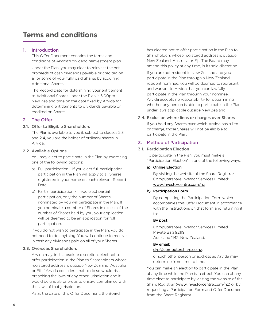# <span id="page-3-0"></span>**Terms and conditions**

# 1. Introduction

This Offer Document contains the terms and conditions of Arvida's dividend reinvestment plan.

Under the Plan, you may elect to reinvest the net proceeds of cash dividends payable or credited on all or some of your fully paid Shares by acquiring Additional Shares.

The Record Date for determining your entitlement to Additional Shares under the Plan is 5.00pm New Zealand time on the date fixed by Arvida for determining entitlements to dividends payable or credited on Shares.

# 2. The Offer

#### 2.1. Offer to Eligible Shareholders

The Plan is available to you if, subject to clauses 2.3 and 2.4, you are the holder of ordinary shares in Arvida.

#### 2.2. Available Options

You may elect to participate in the Plan by exercising one of the following options:

- a) Full participation If you elect full participation, participation in the Plan will apply to all Shares registered in your name on each relevant Record Date.
- b) Partial participation If you elect partial participation, only the number of Shares nominated by you will participate in the Plan. If you nominate a number of Shares in excess of the number of Shares held by you, your application will be deemed to be an application for full participation.

If you do not wish to participate in the Plan, you do not need to do anything. You will continue to receive in cash any dividends paid on all of your Shares.

# 2.3. Overseas Shareholders

Arvida may, in its absolute discretion, elect not to offer participation in the Plan to Shareholders whose registered address is outside New Zealand, Australia or Fiji if Arvida considers that to do so would risk breaching the laws of any other jurisdiction and it would be unduly onerous to ensure compliance with the laws of that jurisdiction.

As at the date of this Offer Document, the Board

has elected not to offer participation in the Plan to Shareholders whose registered address is outside New Zealand, Australia or Fiji. The Board may amend this policy at any time, in its sole discretion.

If you are not resident in New Zealand and you participate in the Plan through a New Zealand resident nominee, you will be deemed to represent and warrant to Arvida that you can lawfully participate in the Plan through your nominee. Arvida accepts no responsibility for determining whether any person is able to participate in the Plan under laws applicable outside New Zealand.

#### 2.4. Exclusion where liens or charges over Shares

If you hold any Shares over which Arvida has a lien or charge, those Shares will not be eligible to participate in the Plan.

# 3. Method of Participation

#### 3.1. Participation Election

To participate in the Plan, you must make a "Participation Election" in one of the following ways:

#### a) Online Election

By visiting the website of the Share Registrar, Computershare Investor Services Limited: [www.investorcentre.com/nz](http://www.investorcentre.com/nz)

#### b) Participation Form

By completing the Participation Form which accompanies this Offer Document in accordance with the instructions on that form and returning it to:

#### By post:

Computershare Investor Services Limited Private Bag 92119 Auckland 1142, New Zealand,

#### By email:

# [drp@computershare.co.nz](mailto:drp%40computershare.co.nz?subject=),

or such other person or address as Arvida may determine from time to time.

You can make an election to participate in the Plan at any time while the Plan is in effect. You can at any time elect to participate by visiting the website of the Share Registrar ([www.investorcentre.com/nz](http://www.investorcentre.com/nz)) or by requesting a Participation Form and Offer Document from the Share Registrar.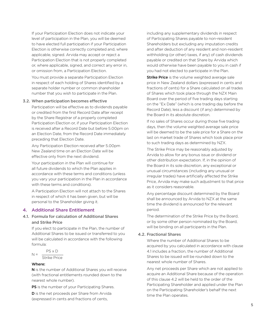If your Participation Election does not indicate your level of participation in the Plan, you will be deemed to have elected full participation if your Participation Election is otherwise correctly completed and, where applicable, signed. Arvida may accept or reject a Participation Election that is not properly completed or, where applicable, signed, and correct any error in, or omission from, a Participation Election.

You must provide a separate Participation Election in respect of each holding of Shares identified by a separate holder number or common shareholder number that you wish to participate in the Plan.

#### 3.2. When participation becomes effective

Participation will be effective as to dividends payable or credited from the first Record Date after receipt by the Share Registrar of a properly completed Participation Election or, if your Participation Election is received after a Record Date but before 5.00pm on an Election Date, from the Record Date immediately preceding that Election Date.

Any Participation Election received after 5.00pm New Zealand time on an Election Date will be effective only from the next dividend.

Your participation in the Plan will continue for all future dividends to which the Plan applies in accordance with these terms and conditions (unless you vary your participation in the Plan in accordance with these terms and conditions).

A Participation Election will not attach to the Shares in respect of which it has been given, but will be personal to the Shareholder giving it.

# 4. Additional Share Entitlement

# 4.1. Formula for calculation of Additional Shares and Strike Price

If you elect to participate in the Plan, the number of Additional Shares to be issued or transferred to you will be calculated in accordance with the following formula:

$$
N = \frac{PS \times D}{\text{Strike Price}}
$$

#### Where:

N is the number of Additional Shares you will receive (with fractional entitlements rounded down to the nearest whole number).

PS is the number of your Participating Shares.

**D** is the net proceeds per Share from Arvida (expressed in cents and fractions of cents,

including any supplementary dividends in respect of Participating Shares payable to non-resident Shareholders but excluding any imputation credits and after deduction of any resident and non-resident withholding (or other) taxes, if any) of cash dividends payable or credited on that Share by Arvida which would otherwise have been payable to you in cash if you had not elected to participate in the Plan.

**Strike Price** is the volume weighted average sale price in New Zealand dollars (expressed in cents and fractions of cents) for a Share calculated on all trades of Shares which took place through the NZX Main Board over the period of five trading days starting on the "Ex Date" (which is one trading day before the Record Date), less a discount (if any) determined by the Board in its absolute discretion.

If no sales of Shares occur during those five trading days, then the volume weighted average sale price will be deemed to be the sale price for a Share on the last on market trade of Shares which took place prior to such trading days as determined by NZX.

The Strike Price may be reasonably adjusted by Arvida to allow for any bonus issue or dividend or other distribution expectation. If, in the opinion of the Board in its sole discretion, any exceptional or unusual circumstances (including any unusual or irregular trades) have artificially affected the Strike Price, Arvida may make such adjustment to that price as it considers reasonable.

Any percentage discount determined by the Board shall be announced by Arvida to NZX at the same time the dividend is announced for the relevant period.

The determination of the Strike Price by the Board, or by some other person nominated by the Board, will be binding on all participants in the Plan.

#### 4.2. Fractional Shares

Where the number of Additional Shares to be acquired by you calculated in accordance with clause 4.1 includes a fraction, the number of Additional Shares to be issued will be rounded down to the nearest whole number of Shares.

Any net proceeds per Share which are not applied to acquire an Additional Share because of the operation of this clause 4.2 will be held to the order of the Participating Shareholder and applied under the Plan on the Participating Shareholder's behalf the next time the Plan operates.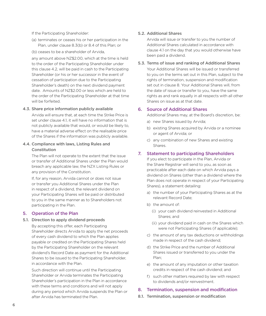If the Participating Shareholder:

- (a) terminates or ceases his or her participation in the Plan, under clause 8.3(b) or 8.4 of this Plan; or
- (b) ceases to be a shareholder of Arvida,

any amount above NZ\$2.00, which at the time is held to the order of the Participating Shareholder under this clause 4.2, will be paid in cash to the Participating Shareholder (or his or her successor in the event of cessation of participation due to the Participating Shareholder's death) on the next dividend payment date. Amounts of NZ\$2.00 or less which are held to the order of the Participating Shareholder at that time will be forfeited.

#### 4.3. Share price information publicly available

Arvida will ensure that, at each time the Strike Price is set under clause 4.1, it will have no information that is not publicly available that would, or would be likely to, have a material adverse effect on the realisable price of the Shares if the information was publicly available.

# 4.4. Compliance with laws, Listing Rules and Constitution

The Plan will not operate to the extent that the issue or transfer of Additional Shares under the Plan would breach any applicable law, the NZX Listing Rules or any provision of the Constitution.

If, for any reason, Arvida cannot or does not issue or transfer you Additional Shares under the Plan in respect of a dividend, the relevant dividend on your Participating Shares will be paid or distributed to you in the same manner as to Shareholders not participating in the Plan.

# 5. Operation of the Plan

#### 5.1. Direction to apply dividend proceeds

By accepting this offer, each Participating Shareholder directs Arvida to apply the net proceeds of every cash dividend to which the Plan applies payable or credited on the Participating Shares held by the Participating Shareholder on the relevant dividend's Record Date as payment for the Additional Shares to be issued to the Participating Shareholder, in accordance with the Plan.

Such direction will continue until the Participating Shareholder or Arvida terminates the Participating Shareholder's participation in the Plan in accordance with these terms and conditions and will not apply during any period which Arvida suspends the Plan or after Arvida has terminated the Plan.

#### 5.2. Additional Shares

Arvida will issue or transfer to you the number of Additional Shares calculated in accordance with clause 4.1 on the day that you would otherwise have been paid a dividend.

#### 5.3. Terms of issue and ranking of Additional Shares

Your Additional Shares will be issued or transferred to you on the terms set out in this Plan, subject to the rights of termination, suspension and modification set out in clause 8. Your Additional Shares will, from the date of issue or transfer to you, have the same rights as and rank equally in all respects with all other Shares on issue as at that date.

#### 6. Source of Additional Shares

Additional Shares may, at the Board's discretion, be:

- a) new Shares issued by Arvida;
- b) existing Shares acquired by Arvida or a nominee or agent of Arvida; or
- c) any combination of new Shares and existing Shares.

# 7. Statement to participating Shareholders

If you elect to participate in the Plan, Arvida or the Share Registrar will send to you, as soon as practicable after each date on which Arvida pays a dividend on Shares (other than a dividend where the Plan does not operate in respect of your Participating Shares), a statement detailing:

- a) the number of your Participating Shares as at the relevant Record Date;
- b) the amount of:
	- (i) your cash dividend reinvested in Additional Shares; and
	- (ii) your dividend paid in cash on the Shares which were not Participating Shares (if applicable);
- c) the amount of any tax deductions or withholdings made in respect of the cash dividend;
- d) the Strike Price and the number of Additional Shares issued or transferred to you under the Plan;
- e) the amount of any imputation or other taxation credits in respect of the cash dividend; and
- f) such other matters required by law with respect to dividends and/or reinvestment.

# 8. Termination, suspension and modification

8.1. Termination, suspension or modification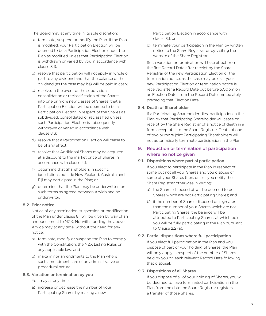The Board may at any time in its sole discretion:

- a) terminate, suspend or modify the Plan. If the Plan is modified, your Participation Election will be deemed to be a Participation Election under the Plan as modified unless that Participation Election is withdrawn or varied by you in accordance with clause 8.3;
- b) resolve that participation will not apply in whole or part to any dividend and that the balance of the dividend (as the case may be) will be paid in cash;
- c) resolve, in the event of the subdivision, consolidation or reclassification of the Shares into one or more new classes of Shares, that a Participation Election will be deemed to be a Participation Election in respect of the Shares as subdivided, consolidated or reclassified unless such Participation Election is subsequently withdrawn or varied in accordance with clause 8.3;
- d) resolve that a Participation Election will cease to be of any effect;
- e) resolve that Additional Shares may be acquired at a discount to the market price of Shares in accordance with clause 4.1;
- f) determine that Shareholders in specific jurisdictions outside New Zealand, Australia and Fiji may participate in the Plan; or
- g) determine that the Plan may be underwritten on such terms as agreed between Arvida and an underwriter.

# 8.2. Prior notice

Notice of any termination, suspension or modification of the Plan under clause 8.1 will be given by way of an announcement to NZX. Notwithstanding the above, Arvida may at any time, without the need for any notice:

- a) terminate, modify or suspend the Plan to comply with the Constitution, the NZX Listing Rules or any applicable law; and
- b) make minor amendments to the Plan where such amendments are of an administrative or procedural nature.

# 8.3. Variation or termination by you

You may at any time:

a) increase or decrease the number of your Participating Shares by making a new

Participation Election in accordance with clause 3.1; or

b) terminate your participation in the Plan by written notice to the Share Registrar or by visiting the website of the Share Registrar.

Such variation or termination will take effect from the first Record Date after receipt by the Share Registrar of the new Participation Election or the termination notice, as the case may be or, if your new Participation Election or termination notice is received after a Record Date but before 5.00pm on an Election Date, from the Record Date immediately preceding that Election Date.

# 8.4. Death of Shareholder

If a Participating Shareholder dies, participation in the Plan by that Participating Shareholder will cease on receipt by the Share Registrar of a notice of death in a form acceptable to the Share Registrar. Death of one of two or more joint Participating Shareholders will not automatically terminate participation in the Plan.

# 9. Reduction or termination of participation where no notice given

# 9.1. Dispositions where partial participation If you elect to participate in the Plan in respect of some but not all your Shares and you dispose of some of your Shares then, unless you notify the

Share Registrar otherwise in writing:

- a) the Shares disposed of will be deemed to be Shares which are not Participating Shares; and
- b) if the number of Shares disposed of is greater than the number of your Shares which are not Participating Shares, the balance will be attributed to Participating Shares, at which point you will be fully participating in the Plan pursuant to Clause 2.2 (a).

# 9.2. Partial dispositions where full participation

If you elect full participation in the Plan and you dispose of part of your holding of Shares, the Plan will only apply in respect of the number of Shares held by you on each relevant Record Date following that disposal.

# 9.3. Dispositions of all Shares

If you dispose of all of your holding of Shares, you will be deemed to have terminated participation in the Plan from the date the Share Registrar registers a transfer of those Shares.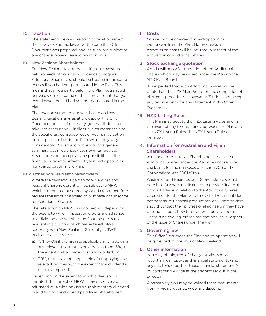# 10. Taxation

The statements below in relation to taxation reflect the New Zealand tax law as at the date this Offer Document was prepared, and, as such, are subject to any change in New Zealand taxation laws.

#### 10.1 New Zealand Shareholders

For New Zealand tax purposes, if you reinvest the net proceeds of your cash dividends to acquire Additional Shares, you should be treated in the same way as if you had not participated in the Plan. This means that if you participate in the Plan, you should derive dividend income of the same amount that you would have derived had you not participated in the Plan.

The taxation summary above is based on New Zealand taxation laws as at the date of this Offer Document and is, of necessity, general. It does not take into account your individual circumstances and the specific tax consequences of your participation or non-participation in the Plan, which may vary considerably. You should not rely on this general summary but should seek your own tax advice. Arvida does not accept any responsibility for the financial or taxation effects of your participation or non-participation in the Plan.

# 10.2. Other non-resident Shareholders

Where the dividend is paid to non-New Zealand resident Shareholders, it will be subject to NRWT which is deducted at source by Arvida (and therefore reduces the amount applied to purchase or subscribe for Additional Shares).

The rate at which NRWT is imposed will depend on the extent to which imputation credits are attached to a dividend and whether the Shareholder is tax resident in a country which has entered into a tax treaty with New Zealand. Generally, NRWT is deducted at the rate of:

- a) 15%, or 0% if the tax rate applicable after applying any relevant tax treaty would be less than 15%, to the extent that a dividend is fully imputed; or
- b) 30%, or the tax rate applicable after applying any relevant tax treaty, to the extent that a dividend is not fully imputed.

Depending on the extent to which a dividend is imputed, the impact of NRWT may effectively be mitigated by Arvida paying a supplementary dividend in addition to the dividend paid to all Shareholders.

# 11. Costs

You will not be charged for participation or withdrawal from the Plan. No brokerage or commission costs will be incurred in respect of the acquisition of Additional Shares.

# 12. Stock exchange quotation

Arvida will apply for quotation of the Additional Shares which may be issued under the Plan on the NZX Main Board.

It is expected that such Additional Shares will be quoted on the NZX Main Board on the completion of allotment procedures. However, NZX does not accept any responsibility for any statement in this Offer Document.

# 13. NZX Listing Rules

This Plan is subject to the NZX Listing Rules and in the event of any inconsistency between the Plan and the NZX Listing Rules, the NZX Listing Rules will apply.

# 14. Information for Australian and Fijian **Shareholders**

In respect of Australian Shareholders, the offer of Additional Shares under the Plan does not require disclosure for the purposes of section 706 of the Corporations Act 2001 (Cth.).

Australian and Fijian resident Shareholders should note that Arvida is not licenced to provide financial product advice in relation to the Additional Shares offered under the Plan, and this Offer Document does not constitute financial product advice. Shareholders should contact their professional advisers if they have questions about how the Plan will apply to them. There is no cooling-off regime that applies in respect of the issue of Shares under the Plan.

# 15. Governing law

This Offer Document, the Plan and its operation will be governed by the laws of New Zealand.

# 16. Other information

You may obtain, free of charge, Arvida's most recent annual report and financial statements (and any auditor's report on those financial statements) by contacting Arvida at the address set out in the Directory.

Alternatively, you may download these documents from Arvida's website: [www.arvida.co.nz](http://www.arvida.co.nz)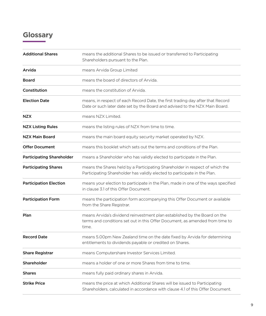# <span id="page-8-0"></span>**Glossary**

| <b>Additional Shares</b>         | means the additional Shares to be issued or transferred to Participating<br>Shareholders pursuant to the Plan.                                                     |
|----------------------------------|--------------------------------------------------------------------------------------------------------------------------------------------------------------------|
| Arvida                           | means Arvida Group Limited                                                                                                                                         |
| <b>Board</b>                     | means the board of directors of Arvida.                                                                                                                            |
| Constitution                     | means the constitution of Arvida.                                                                                                                                  |
| <b>Election Date</b>             | means, in respect of each Record Date, the first trading day after that Record<br>Date or such later date set by the Board and advised to the NZX Main Board.      |
| <b>NZX</b>                       | means NZX Limited.                                                                                                                                                 |
| <b>NZX Listing Rules</b>         | means the listing rules of NZX from time to time.                                                                                                                  |
| <b>NZX Main Board</b>            | means the main board equity security market operated by NZX.                                                                                                       |
| <b>Offer Document</b>            | means this booklet which sets out the terms and conditions of the Plan.                                                                                            |
| <b>Participating Shareholder</b> | means a Shareholder who has validly elected to participate in the Plan.                                                                                            |
| <b>Participating Shares</b>      | means the Shares held by a Participating Shareholder in respect of which the<br>Participating Shareholder has validly elected to participate in the Plan.          |
| <b>Participation Election</b>    | means your election to participate in the Plan, made in one of the ways specified<br>in clause 3.1 of this Offer Document.                                         |
| <b>Participation Form</b>        | means the participation form accompanying this Offer Document or available<br>from the Share Registrar.                                                            |
| Plan                             | means Arvida's dividend reinvestment plan established by the Board on the<br>terms and conditions set out in this Offer Document, as amended from time to<br>time. |
| <b>Record Date</b>               | means 5.00pm New Zealand time on the date fixed by Arvida for determining<br>entitlements to dividends payable or credited on Shares.                              |
| <b>Share Registrar</b>           | means Computershare Investor Services Limited.                                                                                                                     |
| Shareholder                      | means a holder of one or more Shares from time to time.                                                                                                            |
| <b>Shares</b>                    | means fully paid ordinary shares in Arvida.                                                                                                                        |
| <b>Strike Price</b>              | means the price at which Additional Shares will be issued to Participating<br>Shareholders, calculated in accordance with clause 4.1 of this Offer Document.       |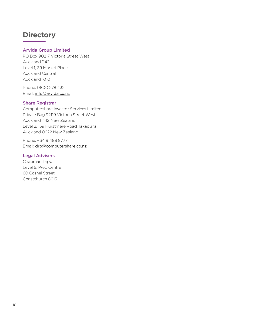# <span id="page-9-0"></span>**Directory**

# Arvida Group Limited

PO Box 90217 Victoria Street West Auckland 1142 Level 1, 39 Market Place Auckland Central Auckland 1010

Phone: 0800 278 432 Email: [info@arvida.co.nz](mailto:info%40arvida.co.nz?subject=)

# Share Registrar

Computershare Investor Services Limited Private Bag 92119 Victoria Street West Auckland 1142 New Zealand Level 2, 159 Hurstmere Road Takapuna Auckland 0622 New Zealand

Phone: +64 9 488 8777 Email: [drp@computershare.co.nz](mailto:drp%40computershare.co.nz?subject=)

# Legal Advisers

Chapman Tripp Level 5, PwC Centre 60 Cashel Street Christchurch 8013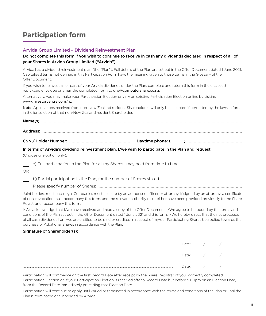# <span id="page-10-0"></span>**Participation form**

# Arvida Group Limited – Dividend Reinvestment Plan

# Do not complete this form if you wish to continue to receive in cash any dividends declared in respect of all of your Shares in Arvida Group Limited ("Arvida").

Arvida has a dividend reinvestment plan (the "Plan"). Full details of the Plan are set out in the Offer Document dated 1 June 2021. Capitalised terms not defined in this Participation Form have the meaning given to those terms in the Glossary of the Offer Document.

If you wish to reinvest all or part of your Arvida dividends under the Plan, complete and return this form in the enclosed reply-paid envelope or email the completed form to [drp@computershare.co.nz](mailto:drp%40computershare.co.nz?subject=).

Alternatively, you may make your Participation Election or vary an existing Participation Election online by visiting [www.investorcentre.com/nz](http://www.investorcentre.com/nz).

Note: Applications received from non-New Zealand resident Shareholders will only be accepted if permitted by the laws in force in the jurisdiction of that non-New Zealand resident Shareholder.

| $\textbf{Name(s):} \label{def:1} \vspace{-0.1cm} \begin{minipage}[t]{0.9\linewidth} \centering \vspace{-0.1cm} \includegraphics[width=0.9\linewidth]{figures/0.1cm} \includegraphics[width=0.9\linewidth]{figures/0.1cm} \includegraphics[width=0.9\linewidth]{figures/0.1cm} \includegraphics[width=0.9\linewidth]{figures/0.1cm} \includegraphics[width=0.9\linewidth]{figures/0.1cm} \includegraphics[width=0.9\linewidth]{figures/0.1cm} \includegraphics[width=0.9\linewidth]{figures/0.1cm} \includegraphics[width=0.9\linewidth]{figures/0.1cm} \includegraphics[width=0.9\linewidth]{figures/0.1$ |  |
|-----------------------------------------------------------------------------------------------------------------------------------------------------------------------------------------------------------------------------------------------------------------------------------------------------------------------------------------------------------------------------------------------------------------------------------------------------------------------------------------------------------------------------------------------------------------------------------------------------------|--|
|                                                                                                                                                                                                                                                                                                                                                                                                                                                                                                                                                                                                           |  |
|                                                                                                                                                                                                                                                                                                                                                                                                                                                                                                                                                                                                           |  |
| In terms of Arvida's dividend reinvestment plan, I/we wish to participate in the Plan and request:                                                                                                                                                                                                                                                                                                                                                                                                                                                                                                        |  |

(Choose one option only):

a) Full participation in the Plan for all my Shares I may hold from time to time

# OR

b) Partial participation in the Plan, for the number of Shares stated.

Please specify number of Shares: ...............................................................................................................................................................................

Joint holders must each sign. Companies must execute by an authorised officer or attorney. If signed by an attorney, a certificate of non-revocation must accompany this form, and the relevant authority must either have been provided previously to the Share Registrar or accompany this form.

I/We acknowledge that I/we have received and read a copy of the Offer Document. I/We agree to be bound by the terms and conditions of the Plan set out in the Offer Document dated 1 June 2021 and this form. I/We hereby direct that the net proceeds of all cash dividends I am/we are entitled to be paid or credited in respect of my/our Participating Shares be applied towards the purchase of Additional Shares in accordance with the Plan.

# Signature of Shareholder(s):

| )ate: |  |
|-------|--|
| Date: |  |
| )ate: |  |

Participation will commence on the first Record Date after receipt by the Share Registrar of your correctly completed Participation Election or, if your Participation Election is received after a Record Date but before 5.00pm on an Election Date, from the Record Date immediately preceding that Election Date.

Participation will continue to apply until varied or terminated in accordance with the terms and conditions of the Plan or until the Plan is terminated or suspended by Arvida.